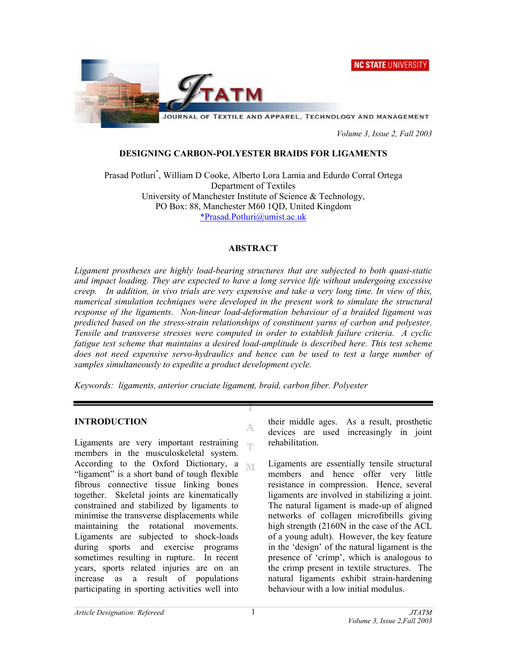



JOURNAL OF TEXTILE AND APPAREL, TECHNOLOGY AND MANAGEMENT

 *Volume 3, Issue 2, Fall 2003* 

## **DESIGNING CARBON-POLYESTER BRAIDS FOR LIGAMENTS**

Prasad Potluri\* , William D Cooke, Alberto Lora Lamia and Edurdo Corral Ortega Department of Textiles University of Manchester Institute of Science & Technology, PO Box: 88, Manchester M60 1QD, United Kingdom \*Prasad.Potluri@umist.ac.uk

# **ABSTRACT**

*Ligament prostheses are highly load-bearing structures that are subjected to both quasi-static and impact loading. They are expected to have a long service life without undergoing excessive creep. In addition, in vivo trials are very expensive and take a very long time. In view of this, numerical simulation techniques were developed in the present work to simulate the structural response of the ligaments. Non-linear load-deformation behaviour of a braided ligament was predicted based on the stress-strain relationships of constituent yarns of carbon and polyester. Tensile and transverse stresses were computed in order to establish failure criteria. A cyclic fatigue test scheme that maintains a desired load-amplitude is described here. This test scheme does not need expensive servo-hydraulics and hence can be used to test a large number of samples simultaneously to expedite a product development cycle.* 

A.

*Keywords: ligaments, anterior cruciate ligament, braid, carbon fiber. Polyester* 

### **INTRODUCTION**

Ligaments are very important restraining m. members in the musculoskeletal system. According to the Oxford Dictionary, a  $\mathbb{N}$ "ligament" is a short band of tough flexible fibrous connective tissue linking bones together. Skeletal joints are kinematically constrained and stabilized by ligaments to minimise the transverse displacements while maintaining the rotational movements. Ligaments are subjected to shock-loads during sports and exercise programs sometimes resulting in rupture. In recent years, sports related injuries are on an increase as a result of populations participating in sporting activities well into

their middle ages. As a result, prosthetic devices are used increasingly in joint rehabilitation.

Ligaments are essentially tensile structural members and hence offer very little resistance in compression. Hence, several ligaments are involved in stabilizing a joint. The natural ligament is made-up of aligned networks of collagen microfibrills giving high strength (2160N in the case of the ACL of a young adult). However, the key feature in the 'design' of the natural ligament is the presence of 'crimp', which is analogous to the crimp present in textile structures. The natural ligaments exhibit strain-hardening behaviour with a low initial modulus.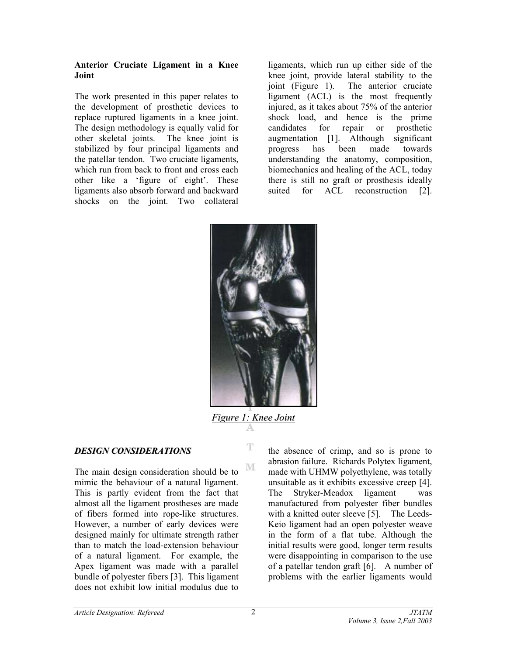#### **Anterior Cruciate Ligament in a Knee Joint**

The work presented in this paper relates to the development of prosthetic devices to replace ruptured ligaments in a knee joint. The design methodology is equally valid for other skeletal joints. The knee joint is stabilized by four principal ligaments and the patellar tendon. Two cruciate ligaments, which run from back to front and cross each other like a 'figure of eight'. These ligaments also absorb forward and backward shocks on the joint. Two collateral

ligaments, which run up either side of the knee joint, provide lateral stability to the joint (Figure 1). The anterior cruciate ligament (ACL) is the most frequently injured, as it takes about 75% of the anterior shock load, and hence is the prime candidates for repair or prosthetic augmentation [1]. Although significant progress has been made towards understanding the anatomy, composition, biomechanics and healing of the ACL, today there is still no graft or prosthesis ideally suited for ACL reconstruction [2].



*Figure 1: Knee Joint*

T

M

# *DESIGN CONSIDERATIONS*

The main design consideration should be to mimic the behaviour of a natural ligament. This is partly evident from the fact that almost all the ligament prostheses are made of fibers formed into rope-like structures. However, a number of early devices were designed mainly for ultimate strength rather than to match the load-extension behaviour of a natural ligament. For example, the Apex ligament was made with a parallel bundle of polyester fibers [3]. This ligament does not exhibit low initial modulus due to

the absence of crimp, and so is prone to abrasion failure. Richards Polytex ligament, made with UHMW polyethylene, was totally unsuitable as it exhibits excessive creep [4]. The Stryker-Meadox ligament was manufactured from polyester fiber bundles with a knitted outer sleeve [5]. The Leeds-Keio ligament had an open polyester weave in the form of a flat tube. Although the initial results were good, longer term results were disappointing in comparison to the use of a patellar tendon graft [6]. A number of problems with the earlier ligaments would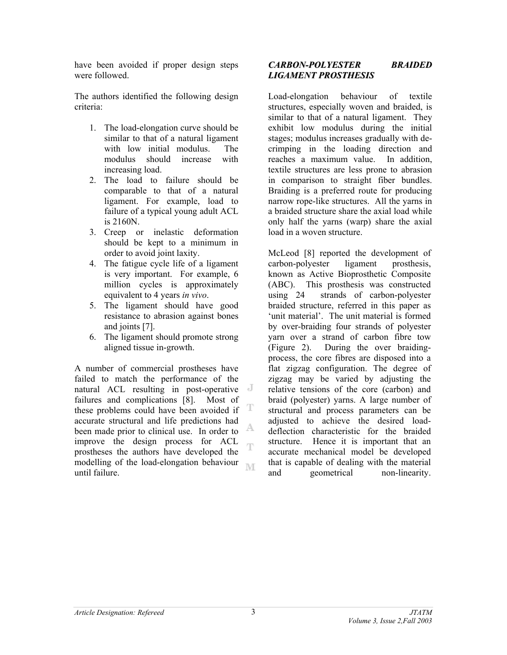have been avoided if proper design steps were followed.

The authors identified the following design criteria:

- 1. The load-elongation curve should be similar to that of a natural ligament with low initial modulus. The modulus should increase with increasing load.
- 2. The load to failure should be comparable to that of a natural ligament. For example, load to failure of a typical young adult ACL is 2160N.
- 3. Creep or inelastic deformation should be kept to a minimum in order to avoid joint laxity.
- 4. The fatigue cycle life of a ligament is very important. For example, 6 million cycles is approximately equivalent to 4 years *in vivo*.
- 5. The ligament should have good resistance to abrasion against bones and joints [7].
- 6. The ligament should promote strong aligned tissue in-growth.

A number of commercial prostheses have failed to match the performance of the natural ACL resulting in post-operative failures and complications [8]. Most of these problems could have been avoided if T accurate structural and life predictions had A been made prior to clinical use. In order to improve the design process for ACL Ŧ prostheses the authors have developed the modelling of the load-elongation behaviour **N/F** until failure.

# *CARBON-POLYESTER BRAIDED LIGAMENT PROSTHESIS*

Load-elongation behaviour of textile structures, especially woven and braided, is similar to that of a natural ligament. They exhibit low modulus during the initial stages; modulus increases gradually with decrimping in the loading direction and reaches a maximum value. In addition, textile structures are less prone to abrasion in comparison to straight fiber bundles. Braiding is a preferred route for producing narrow rope-like structures. All the yarns in a braided structure share the axial load while only half the yarns (warp) share the axial load in a woven structure.

McLeod [8] reported the development of carbon-polyester ligament prosthesis, known as Active Bioprosthetic Composite (ABC). This prosthesis was constructed using 24 strands of carbon-polyester braided structure, referred in this paper as 'unit material'. The unit material is formed by over-braiding four strands of polyester yarn over a strand of carbon fibre tow (Figure 2). During the over braidingprocess, the core fibres are disposed into a flat zigzag configuration. The degree of zigzag may be varied by adjusting the relative tensions of the core (carbon) and braid (polyester) yarns. A large number of structural and process parameters can be adjusted to achieve the desired loaddeflection characteristic for the braided structure. Hence it is important that an accurate mechanical model be developed that is capable of dealing with the material and geometrical non-linearity.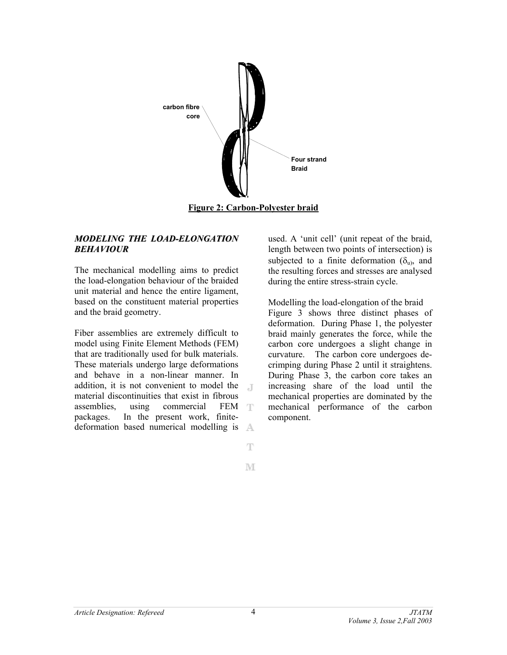

## *MODELING THE LOAD-ELONGATION BEHAVIOUR*

The mechanical modelling aims to predict the load-elongation behaviour of the braided unit material and hence the entire ligament, based on the constituent material properties and the braid geometry.

Fiber assemblies are extremely difficult to model using Finite Element Methods (FEM) that are traditionally used for bulk materials. These materials undergo large deformations and behave in a non-linear manner. In addition, it is not convenient to model the  $\Gamma$ material discontinuities that exist in fibrous assemblies, using commercial FEM T packages. In the present work, finitedeformation based numerical modelling is A used. A 'unit cell' (unit repeat of the braid, length between two points of intersection) is subjected to a finite deformation  $(\delta_u)$ , and the resulting forces and stresses are analysed during the entire stress-strain cycle.

Modelling the load-elongation of the braid Figure 3 shows three distinct phases of deformation. During Phase 1, the polyester braid mainly generates the force, while the carbon core undergoes a slight change in curvature. The carbon core undergoes decrimping during Phase 2 until it straightens. During Phase 3, the carbon core takes an increasing share of the load until the mechanical properties are dominated by the mechanical performance of the carbon component.

 $\mathbb T$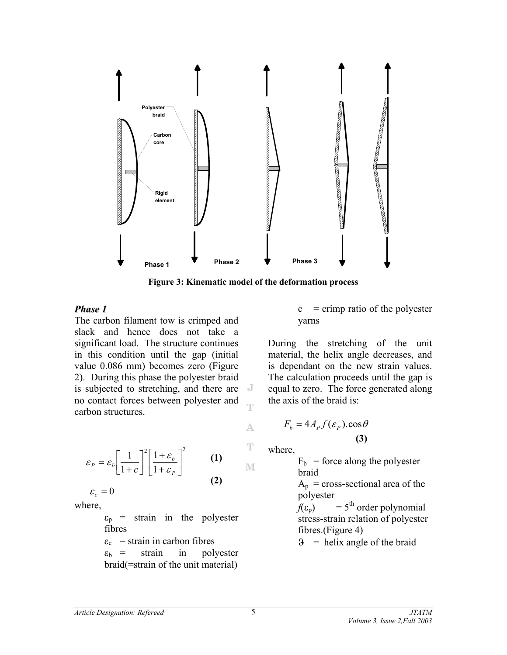

**Figure 3: Kinematic model of the deformation process** 

A

 $\mathbb T$ 

M

### *Phase 1*

The carbon filament tow is crimped and slack and hence does not take a significant load. The structure continues in this condition until the gap (initial value 0.086 mm) becomes zero (Figure 2). During this phase the polyester braid is subjected to stretching, and there are J no contact forces between polyester and carbon structures.

$$
\varepsilon_{P} = \varepsilon_{b} \left[ \frac{1}{1+c} \right]^{2} \left[ \frac{1+\varepsilon_{b}}{1+\varepsilon_{P}} \right]^{2}
$$
 (1)

where,  $\varepsilon_c = 0$ 

> $\varepsilon_p$  = strain in the polyester fibres

> $\varepsilon_c$  = strain in carbon fibres  $\varepsilon_{\rm b}$  = strain in polyester braid(=strain of the unit material)

 $c =$  crimp ratio of the polyester yarns

During the stretching of the unit material, the helix angle decreases, and is dependant on the new strain values. The calculation proceeds until the gap is equal to zero. The force generated along the axis of the braid is:

$$
F_b = 4A_p f(\varepsilon_p) \cdot \cos \theta
$$
  
(3)

where,

 $F_b$  = force along the polyester braid

 $A_p$  = cross-sectional area of the polyester

 $f(\varepsilon_p)$  = 5<sup>th</sup> order polynomial stress-strain relation of polyester fibres.(Figure 4)

 $\theta$  = helix angle of the braid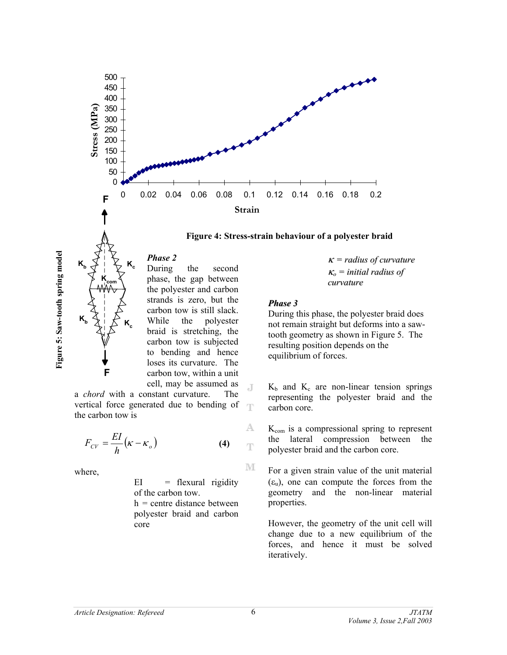





*Phase 2* 

 $\mathsf{K}_{\scriptscriptstyle{\mathsf{c}}}$ 

 $\mathsf{K}_{\scriptscriptstyle{\mathsf{c}}}$ 

During the second phase, the gap between the polyester and carbon strands is zero, but the carbon tow is still slack. While the polyester braid is stretching, the carbon tow is subjected to bending and hence loses its curvature. The carbon tow, within a unit cell, may be assumed as

a *chord* with a constant curvature. The vertical force generated due to bending of the carbon tow is

$$
F_{CV} = \frac{EI}{h} (\kappa - \kappa_o)
$$
 (4)

where,

**F**

 $\mathsf{K}_{\mathsf{com}}$ 

 $EI$  = flexural rigidity of the carbon tow.  $h =$  centre distance between polyester braid and carbon core

<sup>κ</sup> *= radius of curvature* <sup>κ</sup>*<sup>o</sup> = initial radius of curvature*

#### *Phase 3*

During this phase, the polyester braid does not remain straight but deforms into a sawtooth geometry as shown in Figure 5. The resulting position depends on the equilibrium of forces.

 $K_b$  and  $K_c$  are non-linear tension springs representing the polyester braid and the carbon core.

 $K_{com}$  is a compressional spring to represent the lateral compression between the polyester braid and the carbon core.

For a given strain value of the unit material  $(\varepsilon_{\rm u})$ , one can compute the forces from the geometry and the non-linear material properties.

However, the geometry of the unit cell will change due to a new equilibrium of the forces, and hence it must be solved iteratively.

J

A

 $\mathbb T$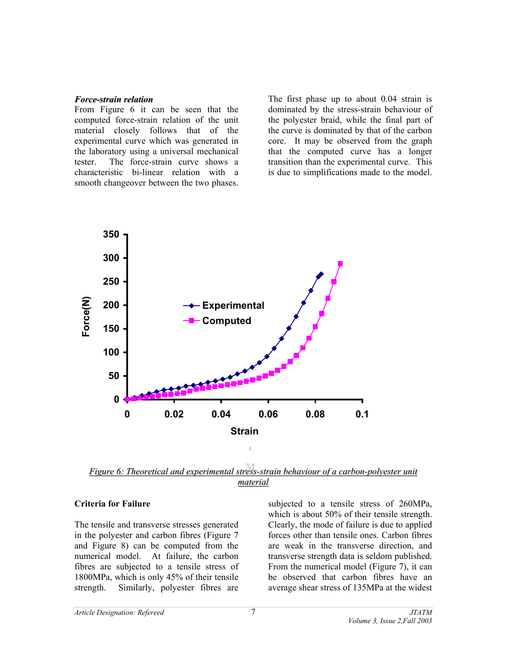#### *Force-strain relation*

From Figure 6 it can be seen that the computed force-strain relation of the unit material closely follows that of the experimental curve which was generated in the laboratory using a universal mechanical tester. The force-strain curve shows a characteristic bi-linear relation with a smooth changeover between the two phases.

The first phase up to about 0.04 strain is dominated by the stress-strain behaviour of the polyester braid, while the final part of the curve is dominated by that of the carbon core. It may be observed from the graph that the computed curve has a longer transition than the experimental curve. This is due to simplifications made to the model.



*Figure 6: Theoretical and experimental stress-strain behaviour of a carbon-polyester unit material*

### **Criteria for Failure**

The tensile and transverse stresses generated in the polyester and carbon fibres (Figure 7 and Figure 8) can be computed from the numerical model. At failure, the carbon fibres are subjected to a tensile stress of 1800MPa, which is only 45% of their tensile strength. Similarly, polyester fibres are

subjected to a tensile stress of 260MPa, which is about 50% of their tensile strength. Clearly, the mode of failure is due to applied forces other than tensile ones. Carbon fibres are weak in the transverse direction, and transverse strength data is seldom published. From the numerical model (Figure 7), it can be observed that carbon fibres have an average shear stress of 135MPa at the widest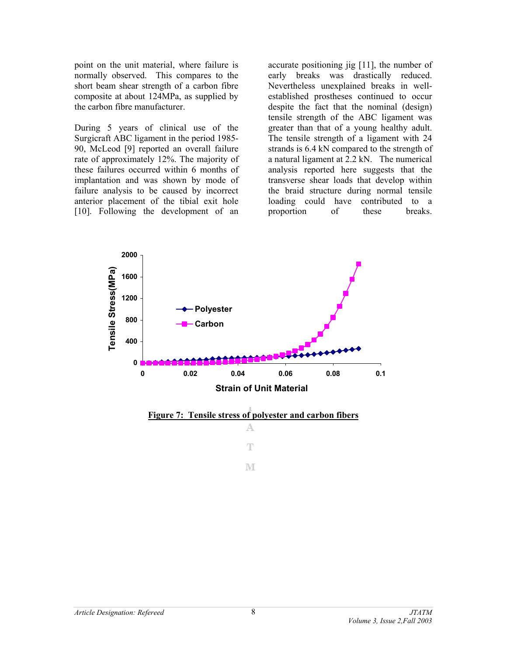point on the unit material, where failure is normally observed. This compares to the short beam shear strength of a carbon fibre composite at about 124MPa, as supplied by the carbon fibre manufacturer.

During 5 years of clinical use of the Surgicraft ABC ligament in the period 1985- 90, McLeod [9] reported an overall failure rate of approximately 12%. The majority of these failures occurred within 6 months of implantation and was shown by mode of failure analysis to be caused by incorrect anterior placement of the tibial exit hole [10]. Following the development of an

accurate positioning jig [11], the number of early breaks was drastically reduced. Nevertheless unexplained breaks in wellestablished prostheses continued to occur despite the fact that the nominal (design) tensile strength of the ABC ligament was greater than that of a young healthy adult. The tensile strength of a ligament with 24 strands is 6.4 kN compared to the strength of a natural ligament at 2.2 kN. The numerical analysis reported here suggests that the transverse shear loads that develop within the braid structure during normal tensile loading could have contributed to a proportion of these breaks.

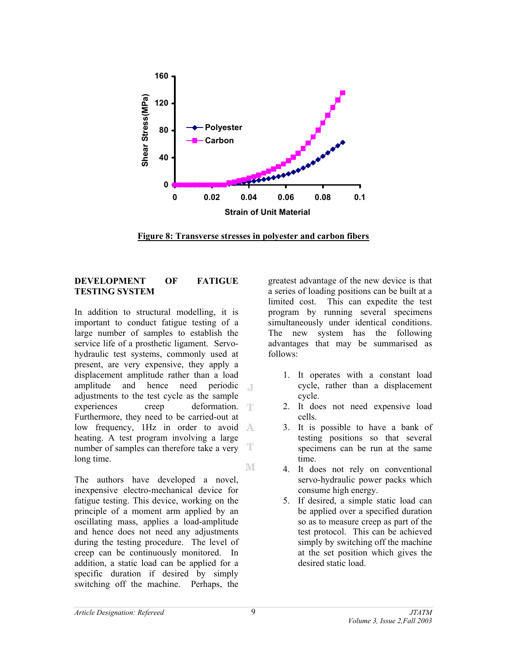

**Figure 8: Transverse stresses in polyester and carbon fibers**

## **DEVELOPMENT OF FATIGUE TESTING SYSTEM**

In addition to structural modelling, it is important to conduct fatigue testing of a large number of samples to establish the service life of a prosthetic ligament. Servohydraulic test systems, commonly used at present, are very expensive, they apply a displacement amplitude rather than a load amplitude and hence need periodic  $\Box$ adjustments to the test cycle as the sample experiences creep deformation. Furthermore, they need to be carried-out at low frequency, 1Hz in order to avoid A heating. A test program involving a large T number of samples can therefore take a very long time. M

The authors have developed a novel, inexpensive electro-mechanical device for fatigue testing. This device, working on the principle of a moment arm applied by an oscillating mass, applies a load-amplitude and hence does not need any adjustments during the testing procedure. The level of creep can be continuously monitored. In addition, a static load can be applied for a specific duration if desired by simply switching off the machine. Perhaps, the

greatest advantage of the new device is that a series of loading positions can be built at a limited cost. This can expedite the test program by running several specimens simultaneously under identical conditions. The new system has the following advantages that may be summarised as follows:

- 1. It operates with a constant load cycle, rather than a displacement cycle.
- 2. It does not need expensive load cells.
- 3. It is possible to have a bank of testing positions so that several specimens can be run at the same time.
- 4. It does not rely on conventional servo-hydraulic power packs which consume high energy.
- 5. If desired, a simple static load can be applied over a specified duration so as to measure creep as part of the test protocol. This can be achieved simply by switching off the machine at the set position which gives the desired static load.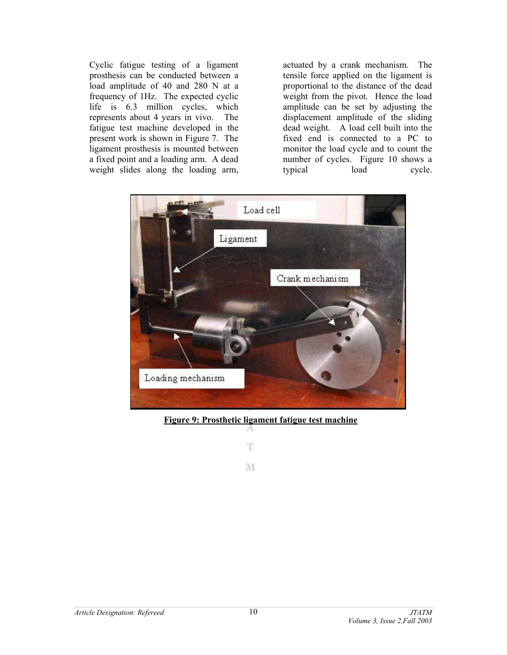Cyclic fatigue testing of a ligament prosthesis can be conducted between a load amplitude of 40 and 280 N at a frequency of 1Hz. The expected cyclic life is 6.3 million cycles, which represents about 4 years in vivo. The fatigue test machine developed in the present work is shown in Figure 7. The ligament prosthesis is mounted between a fixed point and a loading arm. A dead weight slides along the loading arm,

actuated by a crank mechanism. The tensile force applied on the ligament is proportional to the distance of the dead weight from the pivot. Hence the load amplitude can be set by adjusting the displacement amplitude of the sliding dead weight. A load cell built into the fixed end is connected to a PC to monitor the load cycle and to count the number of cycles. Figure 10 shows a typical load cycle.



**Figure 9: Prosthetic ligament fatigue test machine**

 $\mathbb T$ M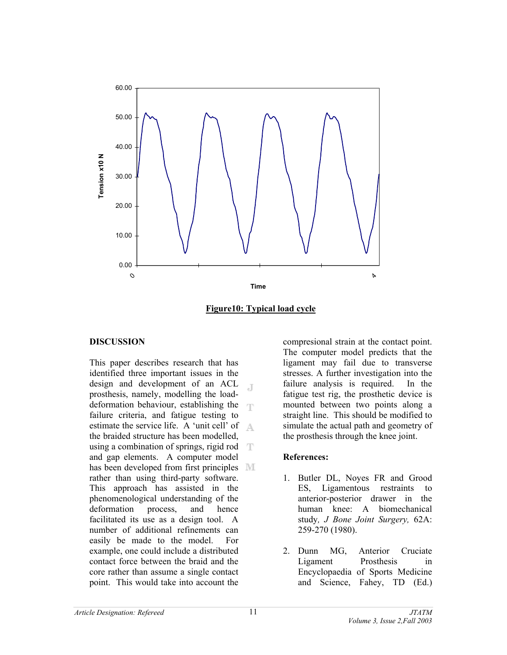

**Figure10: Typical load cycle**

## **DISCUSSION**

This paper describes research that has identified three important issues in the design and development of an ACL Æ prosthesis, namely, modelling the loaddeformation behaviour, establishing the failure criteria, and fatigue testing to estimate the service life. A 'unit cell' of A. the braided structure has been modelled, using a combination of springs, rigid rod  $\top$ and gap elements. A computer model has been developed from first principles **N** rather than using third-party software. This approach has assisted in the phenomenological understanding of the deformation process, and hence facilitated its use as a design tool. A number of additional refinements can easily be made to the model. For example, one could include a distributed contact force between the braid and the core rather than assume a single contact point. This would take into account the

compresional strain at the contact point. The computer model predicts that the ligament may fail due to transverse stresses. A further investigation into the failure analysis is required. In the fatigue test rig, the prosthetic device is mounted between two points along a straight line. This should be modified to simulate the actual path and geometry of the prosthesis through the knee joint.

## **References:**

- 1. Butler DL, Noyes FR and Grood ES, Ligamentous restraints to anterior-posterior drawer in the human knee: A biomechanical study*, J Bone Joint Surgery,* 62A: 259-270 (1980).
- 2. Dunn MG, Anterior Cruciate Ligament Prosthesis in Encyclopaedia of Sports Medicine and Science, Fahey, TD (Ed.)